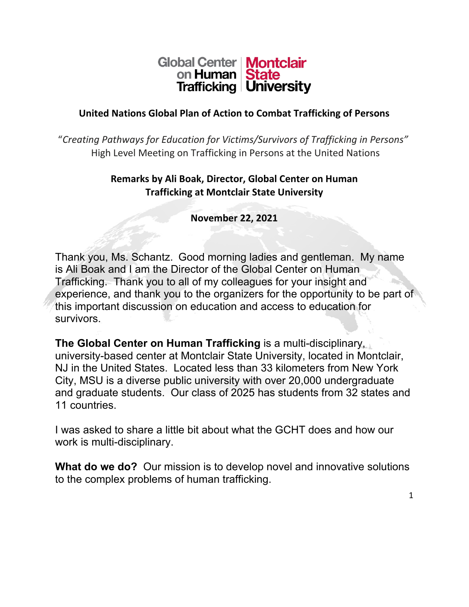## Global Center | Montclair on Human State **Trafficking University**

#### **United Nations Global Plan of Action to Combat Trafficking of Persons**

"*Creating Pathways for Education for Victims/Survivors of Trafficking in Persons"* High Level Meeting on Trafficking in Persons at the United Nations

#### **Remarks by Ali Boak, Director, Global Center on Human Trafficking at Montclair State University**

**November 22, 2021**

Thank you, Ms. Schantz. Good morning ladies and gentleman. My name is Ali Boak and I am the Director of the Global Center on Human Trafficking. Thank you to all of my colleagues for your insight and experience, and thank you to the organizers for the opportunity to be part of this important discussion on education and access to education for survivors.

**The Global Center on Human Trafficking** is a multi-disciplinary, university-based center at Montclair State University, located in Montclair, NJ in the United States. Located less than 33 kilometers from New York City, MSU is a diverse public university with over 20,000 undergraduate and graduate students. Our class of 2025 has students from 32 states and 11 countries.

I was asked to share a little bit about what the GCHT does and how our work is multi-disciplinary.

**What do we do?** Our mission is to develop novel and innovative solutions to the complex problems of human trafficking.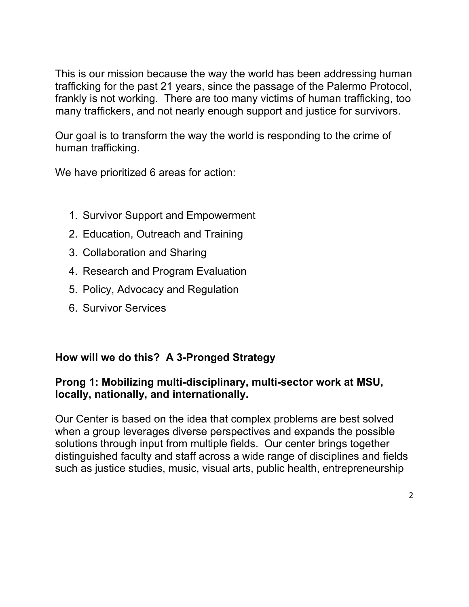This is our mission because the way the world has been addressing human trafficking for the past 21 years, since the passage of the Palermo Protocol, frankly is not working. There are too many victims of human trafficking, too many traffickers, and not nearly enough support and justice for survivors.

Our goal is to transform the way the world is responding to the crime of human trafficking.

We have prioritized 6 areas for action:

- 1. Survivor Support and Empowerment
- 2. Education, Outreach and Training
- 3. Collaboration and Sharing
- 4. Research and Program Evaluation
- 5. Policy, Advocacy and Regulation
- 6. Survivor Services

### **How will we do this? A 3-Pronged Strategy**

### **Prong 1: Mobilizing multi-disciplinary, multi-sector work at MSU, locally, nationally, and internationally.**

Our Center is based on the idea that complex problems are best solved when a group leverages diverse perspectives and expands the possible solutions through input from multiple fields. Our center brings together distinguished faculty and staff across a wide range of disciplines and fields such as justice studies, music, visual arts, public health, entrepreneurship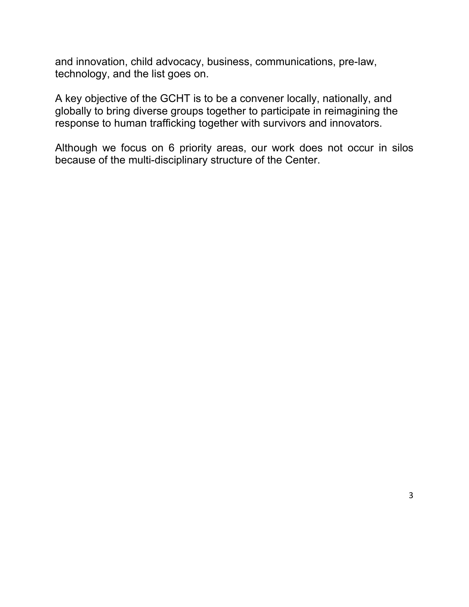and innovation, child advocacy, business, communications, pre-law, technology, and the list goes on.

A key objective of the GCHT is to be a convener locally, nationally, and globally to bring diverse groups together to participate in reimagining the response to human trafficking together with survivors and innovators.

Although we focus on 6 priority areas, our work does not occur in silos because of the multi-disciplinary structure of the Center.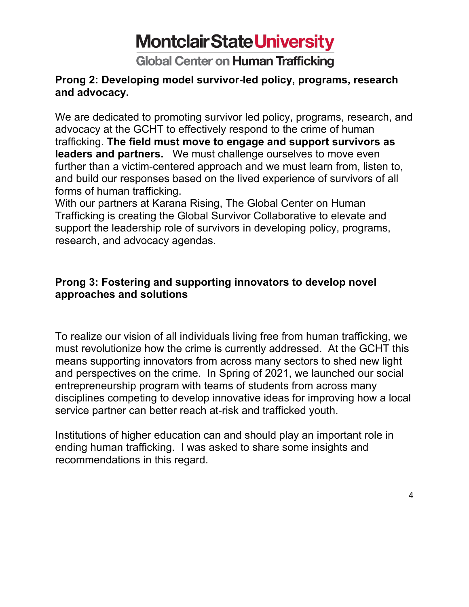## **Montclair State University**

**Global Center on Human Trafficking** 

#### **Prong 2: Developing model survivor-led policy, programs, research and advocacy.**

We are dedicated to promoting survivor led policy, programs, research, and advocacy at the GCHT to effectively respond to the crime of human trafficking. **The field must move to engage and support survivors as leaders and partners.** We must challenge ourselves to move even further than a victim-centered approach and we must learn from, listen to, and build our responses based on the lived experience of survivors of all forms of human trafficking.

With our partners at Karana Rising, The Global Center on Human Trafficking is creating the Global Survivor Collaborative to elevate and support the leadership role of survivors in developing policy, programs, research, and advocacy agendas.

### **Prong 3: Fostering and supporting innovators to develop novel approaches and solutions**

To realize our vision of all individuals living free from human trafficking, we must revolutionize how the crime is currently addressed. At the GCHT this means supporting innovators from across many sectors to shed new light and perspectives on the crime. In Spring of 2021, we launched our social entrepreneurship program with teams of students from across many disciplines competing to develop innovative ideas for improving how a local service partner can better reach at-risk and trafficked youth.

Institutions of higher education can and should play an important role in ending human trafficking. I was asked to share some insights and recommendations in this regard.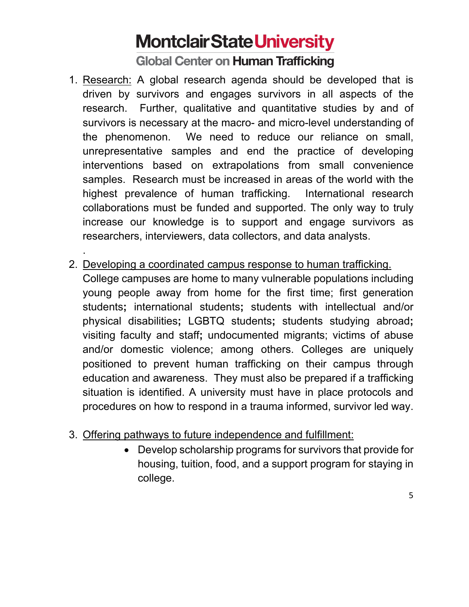# **Montclair State University**

**Global Center on Human Trafficking** 

- 1. Research: A global research agenda should be developed that is driven by survivors and engages survivors in all aspects of the research. Further, qualitative and quantitative studies by and of survivors is necessary at the macro- and micro-level understanding of the phenomenon. We need to reduce our reliance on small, unrepresentative samples and end the practice of developing interventions based on extrapolations from small convenience samples. Research must be increased in areas of the world with the highest prevalence of human trafficking. International research collaborations must be funded and supported. The only way to truly increase our knowledge is to support and engage survivors as researchers, interviewers, data collectors, and data analysts.
- 2. Developing a coordinated campus response to human trafficking.

.

College campuses are home to many vulnerable populations including young people away from home for the first time; first generation students**;** international students**;** students with intellectual and/or physical disabilities**;** LGBTQ students**;** students studying abroad**;**  visiting faculty and staff**;** undocumented migrants; victims of abuse and/or domestic violence; among others. Colleges are uniquely positioned to prevent human trafficking on their campus through education and awareness. They must also be prepared if a trafficking situation is identified. A university must have in place protocols and procedures on how to respond in a trauma informed, survivor led way.

- 3. Offering pathways to future independence and fulfillment:
	- Develop scholarship programs for survivors that provide for housing, tuition, food, and a support program for staying in college.